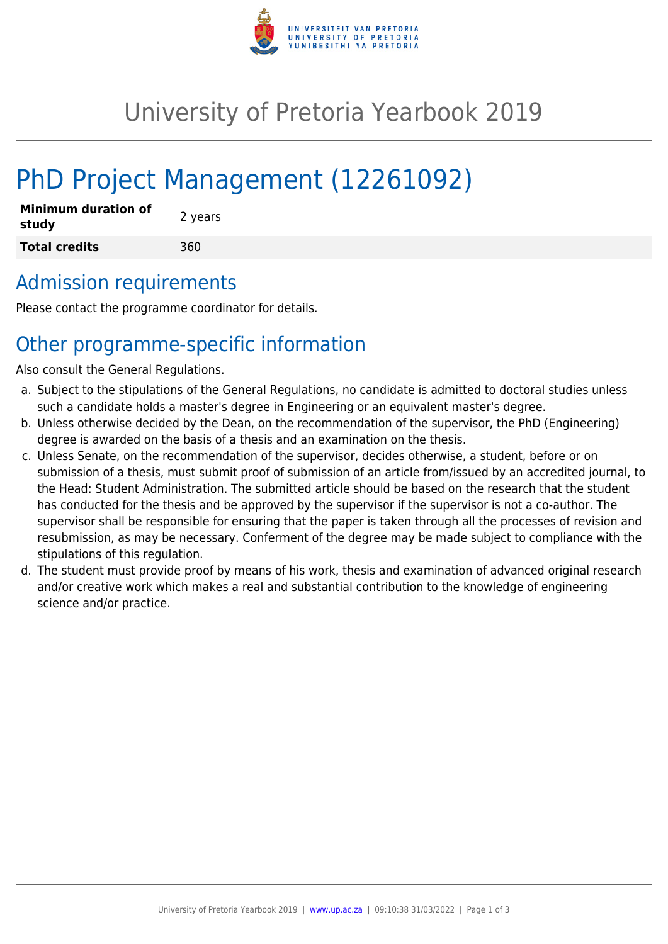

## University of Pretoria Yearbook 2019

# PhD Project Management (12261092)

| <b>Minimum duration of</b><br>study | 2 years |
|-------------------------------------|---------|
| <b>Total credits</b>                | 360     |

#### Admission requirements

Please contact the programme coordinator for details.

## Other programme-specific information

Also consult the General Regulations.

- a. Subject to the stipulations of the General Regulations, no candidate is admitted to doctoral studies unless such a candidate holds a master's degree in Engineering or an equivalent master's degree.
- b. Unless otherwise decided by the Dean, on the recommendation of the supervisor, the PhD (Engineering) degree is awarded on the basis of a thesis and an examination on the thesis.
- c. Unless Senate, on the recommendation of the supervisor, decides otherwise, a student, before or on submission of a thesis, must submit proof of submission of an article from/issued by an accredited journal, to the Head: Student Administration. The submitted article should be based on the research that the student has conducted for the thesis and be approved by the supervisor if the supervisor is not a co-author. The supervisor shall be responsible for ensuring that the paper is taken through all the processes of revision and resubmission, as may be necessary. Conferment of the degree may be made subject to compliance with the stipulations of this regulation.
- d. The student must provide proof by means of his work, thesis and examination of advanced original research and/or creative work which makes a real and substantial contribution to the knowledge of engineering science and/or practice.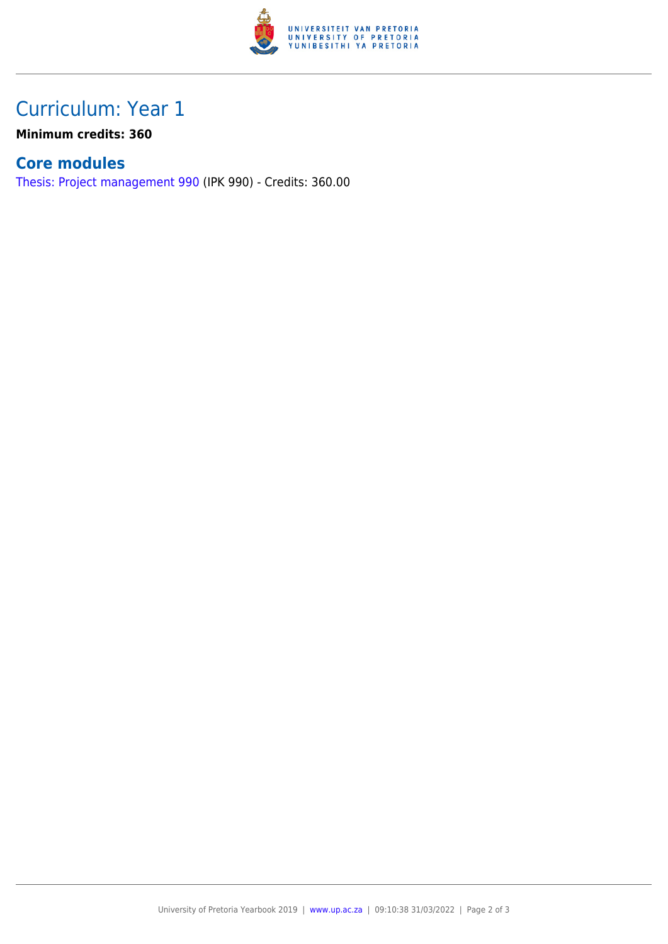

### Curriculum: Year 1

**Minimum credits: 360**

#### **Core modules**

[Thesis: Project management 990](https://www.up.ac.za/parents/yearbooks/2019/modules/view/IPK 990) (IPK 990) - Credits: 360.00